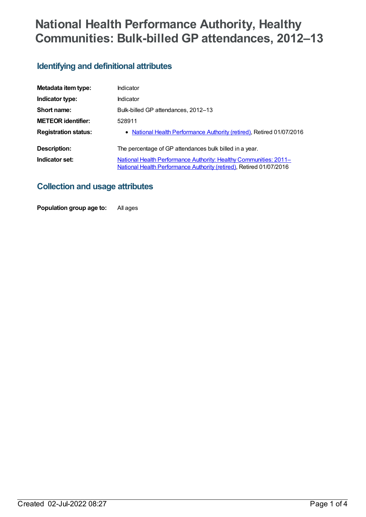# **National Health Performance Authority, Healthy Communities: Bulk-billed GP attendances, 2012–13**

### **Identifying and definitional attributes**

| Metadata item type:         | Indicator                                                                                                                                       |
|-----------------------------|-------------------------------------------------------------------------------------------------------------------------------------------------|
| Indicator type:             | Indicator                                                                                                                                       |
| Short name:                 | Bulk-billed GP attendances, 2012-13                                                                                                             |
| <b>METEOR identifier:</b>   | 528911                                                                                                                                          |
| <b>Registration status:</b> | • National Health Performance Authority (retired), Retired 01/07/2016                                                                           |
| Description:                | The percentage of GP attendances bulk billed in a year.                                                                                         |
| Indicator set:              | <b>National Health Performance Authority: Healthy Communities: 2011–</b><br>National Health Performance Authority (retired), Retired 01/07/2016 |

### **Collection and usage attributes**

**Population group age to:** All ages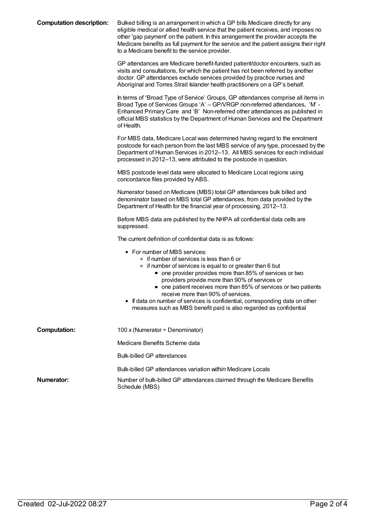| <b>Computation description:</b> | Bulked billing is an arrangement in which a GP bills Medicare directly for any<br>eligible medical or allied health service that the patient receives, and imposes no<br>other 'gap payment' on the patient. In this arrangement the provider accepts the<br>Medicare benefits as full payment for the service and the patient assigns their right<br>to a Medicare benefit to the service provider.                                                                                                                |
|---------------------------------|---------------------------------------------------------------------------------------------------------------------------------------------------------------------------------------------------------------------------------------------------------------------------------------------------------------------------------------------------------------------------------------------------------------------------------------------------------------------------------------------------------------------|
|                                 | GP attendances are Medicare benefit-funded patient/doctor encounters, such as<br>visits and consultations, for which the patient has not been referred by another<br>doctor. GP attendances exclude services provided by practice nurses and<br>Aboriginal and Torres Strait Islander health practitioners on a GP's behalf.                                                                                                                                                                                        |
|                                 | In terms of "Broad Type of Service' Groups, GP attendances comprise all items in<br>Broad Type of Services Groups 'A' - GP/VRGP non-referred attendances, 'M' -<br>Enhanced Primary Care and 'B' Non-referred other attendances as published in<br>official MBS statistics by the Department of Human Services and the Department<br>of Health.                                                                                                                                                                     |
|                                 | For MBS data, Medicare Local was determined having regard to the enrolment<br>postcode for each person from the last MBS service of any type, processed by the<br>Department of Human Services in 2012-13. All MBS services for each individual<br>processed in 2012-13, were attributed to the postcode in question.                                                                                                                                                                                               |
|                                 | MBS postcode level data were allocated to Medicare Local regions using<br>concordance files provided by ABS.                                                                                                                                                                                                                                                                                                                                                                                                        |
|                                 | Numerator based on Medicare (MBS) total GP attendances bulk billed and<br>denominator based on MBS total GP attendances, from data provided by the<br>Department of Health for the financial year of processing, 2012-13.                                                                                                                                                                                                                                                                                           |
|                                 | Before MBS data are published by the NHPA all confidential data cells are<br>suppressed.                                                                                                                                                                                                                                                                                                                                                                                                                            |
|                                 | The current definition of confidential data is as follows:                                                                                                                                                                                                                                                                                                                                                                                                                                                          |
|                                 | • For number of MBS services:<br>∘ if number of services is less than 6 or<br>• if number of services is equal to or greater than 6 but<br>■ one provider provides more than 85% of services or two<br>providers provide more than 90% of services or<br>• one patient receives more than 85% of services or two patients<br>receive more than 90% of services.<br>If data on number of services is confidential, corresponding data on other<br>measures such as MBS benefit paid is also regarded as confidential |
| <b>Computation:</b>             | 100 x (Numerator ÷ Denominator)                                                                                                                                                                                                                                                                                                                                                                                                                                                                                     |
|                                 | Medicare Benefits Scheme data                                                                                                                                                                                                                                                                                                                                                                                                                                                                                       |
|                                 | <b>Bulk-billed GP attendances</b>                                                                                                                                                                                                                                                                                                                                                                                                                                                                                   |
|                                 | Bulk-billed GP attendances variation within Medicare Locals                                                                                                                                                                                                                                                                                                                                                                                                                                                         |
| Numerator:                      | Number of bulk-billed GP attendances claimed through the Medicare Benefits<br>Schedule (MBS)                                                                                                                                                                                                                                                                                                                                                                                                                        |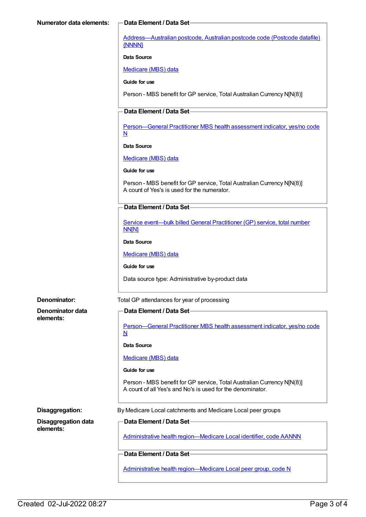[Address—Australian](https://meteor.aihw.gov.au/content/429894) postcode, Australian postcode code (Postcode datafile) {NNNN}

**Data Source**

[Medicare](https://meteor.aihw.gov.au/content/394305) (MBS) data

**Guide for use**

Person - MBS benefit for GP service, Total Australian Currency N[N(8)]

#### **Data Element / Data Set**

[Person—General](https://meteor.aihw.gov.au/content/554986) Practitioner MBS health assessment indicator, yes/no code N

**Data Source**

[Medicare](https://meteor.aihw.gov.au/content/394305) (MBS) data

**Guide for use**

Person - MBS benefit for GP service, Total Australian Currency N[N(8)] A count of Yes's is used for the numerator.

### **Data Element / Data Set**

Service [event—bulk](https://meteor.aihw.gov.au/content/556603) billed General Practitioner (GP) service, total number NN[N]

**Data Source**

[Medicare](https://meteor.aihw.gov.au/content/394305) (MBS) data

**Guide for use**

Data source type: Administrative by-product data

**Denominator data elements:**

**Denominator:** Total GP attendances for year of processing

#### **Data Element / Data Set**

[Person—General](https://meteor.aihw.gov.au/content/554986) Practitioner MBS health assessment indicator, yes/no code N

**Data Source**

#### [Medicare](https://meteor.aihw.gov.au/content/394305) (MBS) data

**Guide for use**

Person - MBS benefit for GP service, Total Australian Currency N[N(8)] A count of all Yes's and No's is used for the denominator.

**Disaggregation data elements:**

**Disaggregation:** By Medicare Local catchments and Medicare Local peer groups

**Data Element / Data Set**

Administrative health [region—Medicare](https://meteor.aihw.gov.au/content/513288) Local identifier, code AANNN

#### **Data Element / Data Set**

Administrative health [region—Medicare](https://meteor.aihw.gov.au/content/550733) Local peer group, code N